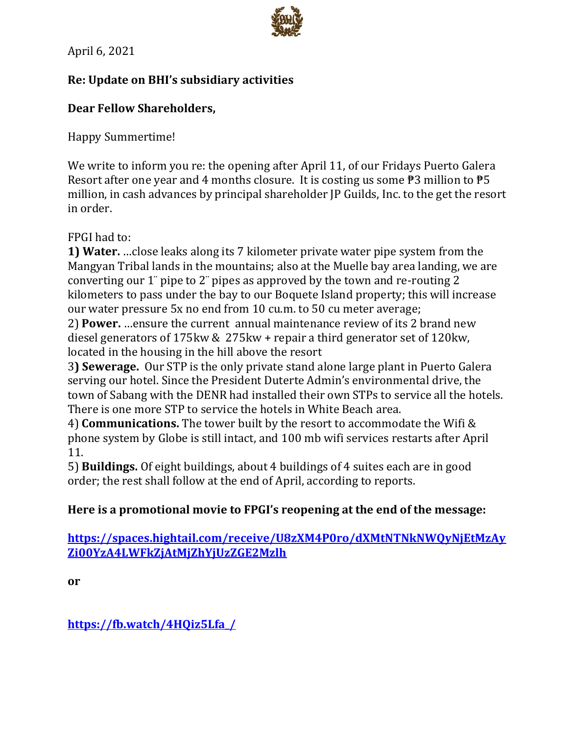April 6, 2021

# Re: Update on BHI's subsidiary activities

# **Dear Fellow Shareholders.**

**Happy Summertime!** 

We write to inform you re: the opening after April 11, of our Fridays Puerto Galera Resort after one year and 4 months closure. It is costing us some  $\overline{P}3$  million to  $\overline{P}5$ million, in cash advances by principal shareholder IP Guilds, Inc. to the get the resort in order.

FPGI had to:

1) Water. ... close leaks along its 7 kilometer private water pipe system from the Mangyan Tribal lands in the mountains; also at the Muelle bay area landing, we are converting our 1" pipe to 2" pipes as approved by the town and re-routing 2 kilometers to pass under the bay to our Boquete Island property; this will increase our water pressure 5x no end from 10 cu.m. to 50 cu meter average;

2) Power. ...ensure the current annual maintenance review of its 2 brand new diesel generators of 175 kw & 275 kw + repair a third generator set of 120 kw. located in the housing in the hill above the resort

3) Sewerage. Our STP is the only private stand alone large plant in Puerto Galera serving our hotel. Since the President Duterte Admin's environmental drive, the town of Sabang with the DENR had installed their own STPs to service all the hotels. There is one more STP to service the hotels in White Beach area.

4) **Communications.** The tower built by the resort to accommodate the Wifi & phone system by Globe is still intact, and 100 mb wifi services restarts after April 11.

5) Buildings. Of eight buildings, about 4 buildings of 4 suites each are in good order; the rest shall follow at the end of April, according to reports.

### Here is a promotional movie to FPGI's reopening at the end of the message:

https://spaces.hightail.com/receive/U8zXM4P0ro/dXMtNTNkNWQyNjEtMzAy Zi00YzA4LWFkZjAtMjZhYjUzZGE2Mzlh

or

https://fb.watch/4HQiz5Lfa /